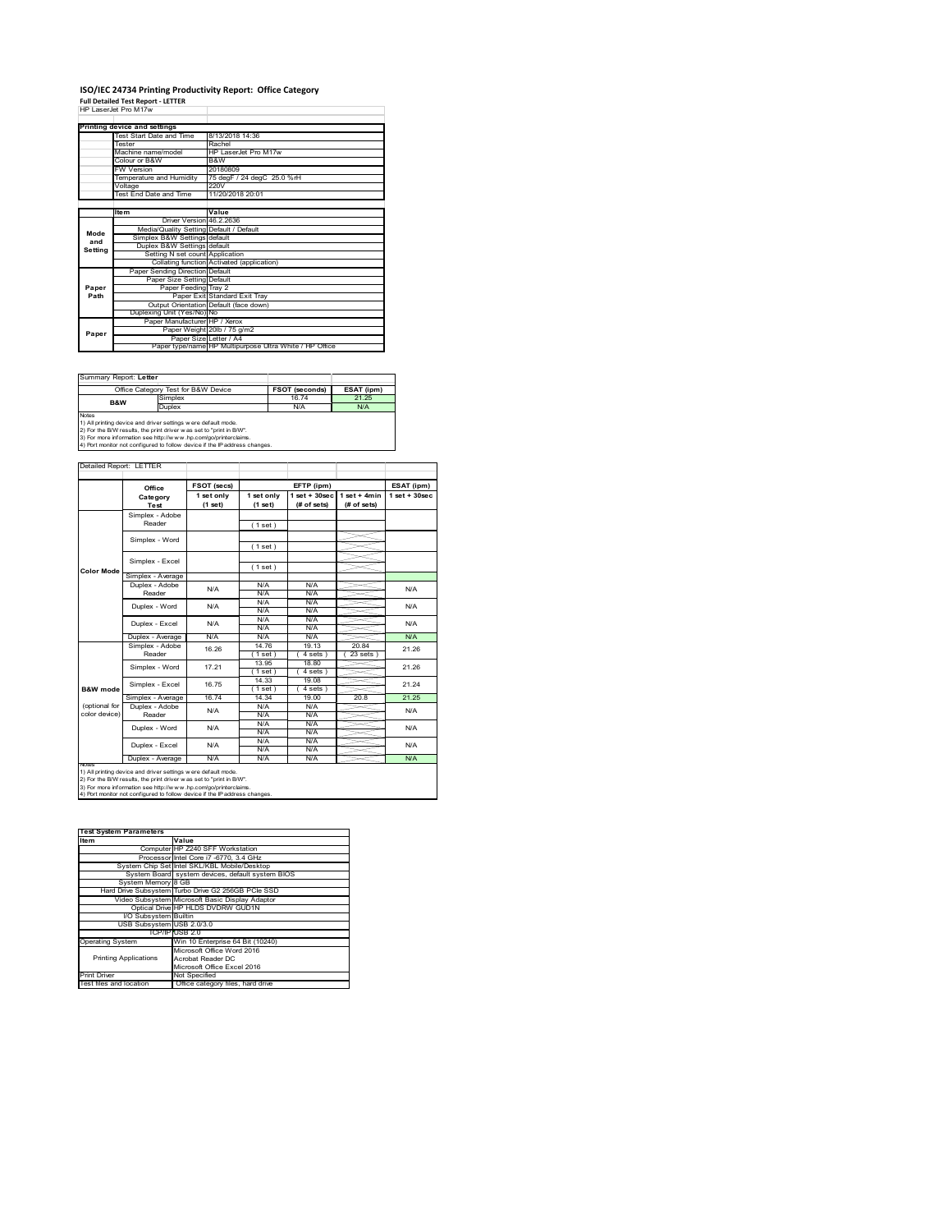# **ISO/IEC 24734 Printing Productivity Report: Office Category Full Detailed Test Report ‐ LETTER** HP LaserJet Pro M17w

|         | 66 12866.89 PR) NU V                    |                                                         |
|---------|-----------------------------------------|---------------------------------------------------------|
|         |                                         |                                                         |
|         | Printing device and settings            |                                                         |
|         | Test Start Date and Time                | 8/13/2018 14:36                                         |
|         | <b>Tester</b>                           | Rachel                                                  |
|         | Machine name/model                      | HP LaserJet Pro M17w                                    |
|         | Colour or B&W                           | B&W                                                     |
|         | <b>FW Version</b>                       | 20180809                                                |
|         | Temperature and Humidity                | 75 degF / 24 degC 25.0 %rH                              |
|         | Voltage                                 | 220V                                                    |
|         | Test End Date and Time                  | 11/20/2018 20:01                                        |
|         |                                         |                                                         |
|         | <b>Item</b>                             | Value                                                   |
|         | Driver Version 46.2.2636                |                                                         |
| Mode    | Media/Quality Setting Default / Default |                                                         |
| and     | Simplex B&W Settings default            |                                                         |
| Setting | Duplex B&W Settings default             |                                                         |
|         | Setting N set count Application         |                                                         |
|         |                                         | Collating function Activated (application)              |
|         | Paper Sending Direction Default         |                                                         |
|         | Paper Size Setting Default              |                                                         |
| Paper   | Paper Feeding Tray 2                    |                                                         |
| Path    |                                         | Paper Exit Standard Exit Tray                           |
|         |                                         | Output Orientation Default (face down)                  |
|         | Duplexing Unit (Yes/No) No              |                                                         |
|         | Paper Manufacturer HP / Xerox           |                                                         |
| Paper   |                                         | Paper Weight 20lb / 75 g/m2                             |
|         |                                         | Paper Size Letter / A4                                  |
|         |                                         | Paper type/name HP Multipurpose Ultra White / HP Office |

| Summary Report: Letter                                                     |                                     |                       |            |  |  |
|----------------------------------------------------------------------------|-------------------------------------|-----------------------|------------|--|--|
|                                                                            | Office Category Test for B&W Device | <b>FSOT (seconds)</b> | ESAT (ipm) |  |  |
| Simplex<br><b>B&amp;W</b>                                                  |                                     | 16.74                 | 21 25      |  |  |
|                                                                            | Duplex                              | N/A                   | N/A        |  |  |
| <b>Notes</b>                                                               |                                     |                       |            |  |  |
| 1) All printing device and driver settings were default mode.              |                                     |                       |            |  |  |
| 2) For the B/W results, the print driver was set to "print in B/W".        |                                     |                       |            |  |  |
| 3) For more information see http://www.hp.com/go/printerclaims.            |                                     |                       |            |  |  |
| 4) Port monitor not configured to follow device if the IP address changes. |                                     |                       |            |  |  |

|                   | Office                    | <b>FSOT (secs)</b>    |                       | EFTP (ipm)                        |                               | ESAT (ipm)       |  |
|-------------------|---------------------------|-----------------------|-----------------------|-----------------------------------|-------------------------------|------------------|--|
|                   | Category<br>Test          | 1 set only<br>(1 set) | 1 set only<br>(1 set) | $1$ set + $30$ sec<br>(# of sets) | $1$ set + 4min<br>(# of sets) | $1$ set + 30sec. |  |
|                   | Simplex - Adobe           |                       |                       |                                   |                               |                  |  |
|                   | Reader                    |                       | (1 set)               |                                   |                               |                  |  |
|                   |                           |                       |                       |                                   |                               |                  |  |
|                   | Simplex - Word            |                       | (1 set)               |                                   |                               |                  |  |
|                   | Simplex - Excel           |                       |                       |                                   |                               |                  |  |
|                   |                           |                       | (1 set)               |                                   |                               |                  |  |
| <b>Color Mode</b> | Simplex - Average         |                       |                       |                                   |                               |                  |  |
|                   | Duplex - Adobe            | N/A                   | N/A                   | N/A                               |                               | N/A              |  |
|                   | Reader                    |                       | N/A                   | N/A                               |                               |                  |  |
|                   | Duplex - Word             | N/A                   | N/A                   | N/A                               |                               | N/A              |  |
|                   |                           |                       | N/A                   | N/A                               |                               |                  |  |
|                   | Duplex - Excel            | N/A                   | N/A                   | N/A                               |                               | N/A              |  |
|                   |                           |                       | N/A                   | N/A                               |                               |                  |  |
|                   | Duplex - Average          | N/A                   | N/A                   | N/A                               |                               | <b>N/A</b>       |  |
|                   | Simplex - Adobe<br>Reader | 16.26                 | 14.76                 | 19.13                             | 2084                          | 21.26            |  |
|                   |                           |                       | $1$ set               | 4 sets 1                          | 23 sets                       |                  |  |
|                   | Simplex - Word            | 17.21                 | 13.95                 | 18.80                             |                               | 21.26            |  |
|                   |                           |                       | $1$ set               | 4 sets)                           |                               |                  |  |
|                   | Simplex - Excel           | 16.75                 | 14.33                 | 19.08                             |                               | 21.24            |  |
| B&W mode          |                           |                       | $1$ set)              | $4 sets$ )                        |                               |                  |  |
|                   | Simplex - Average         | 16.74                 | 14.34                 | 19.00                             | 20.8                          | 21 25            |  |
| (optional for     | Duplex - Adobe            | N/A                   | N/A                   | N/A                               |                               | N/A              |  |
| color device)     | Reader                    |                       | N/A                   | N/A                               |                               |                  |  |
|                   | Duplex - Word             | N/A                   | N/A                   | N/A                               |                               | N/A              |  |
|                   |                           |                       | N/A                   | N/A                               |                               |                  |  |
|                   | Duplex - Excel            | N/A                   | N/A                   | N/A                               |                               | N/A              |  |
|                   |                           |                       | N/A                   | N/A                               |                               |                  |  |
| <b>NOTAS</b>      | Duplex - Average          | N/A                   | N/A                   | N/A                               |                               | N/A              |  |

2) For the B/W results, the print driver w as set to "print in B/W".<br>3) For more information see http://w w w .hp.com/go/printerclaims.<br>4) Port monitor not configured to follow device if the IP address changes.

| <b>Test System Parameters</b> |                                                    |  |  |  |
|-------------------------------|----------------------------------------------------|--|--|--|
| Item                          | Value                                              |  |  |  |
|                               | Computer HP Z240 SFF Workstation                   |  |  |  |
|                               | Processor Intel Core i7 -6770, 3.4 GHz             |  |  |  |
|                               | System Chip Set Intel SKL/KBL Mobile/Desktop       |  |  |  |
|                               | System Board system devices, default system BIOS   |  |  |  |
| System Memory 8 GB            |                                                    |  |  |  |
|                               | Hard Drive Subsystem Turbo Drive G2 256GB PCle SSD |  |  |  |
|                               | Video Subsystem Microsoft Basic Display Adaptor    |  |  |  |
|                               | Optical Drive HP HLDS DVDRW GUD1N                  |  |  |  |
| I/O Subsystem Builtin         |                                                    |  |  |  |
| USB Subsystem USB 2.0/3.0     |                                                    |  |  |  |
|                               | TCP/IPIUSB 2.0                                     |  |  |  |
| <b>Operating System</b>       | Win 10 Enterprise 64 Bit (10240)                   |  |  |  |
|                               | Microsoft Office Word 2016                         |  |  |  |
| <b>Printing Applications</b>  | Acrobat Reader DC                                  |  |  |  |
|                               | Microsoft Office Excel 2016                        |  |  |  |
| <b>Print Driver</b>           | Not Specified                                      |  |  |  |
| Test files and location       | Office category files, hard drive                  |  |  |  |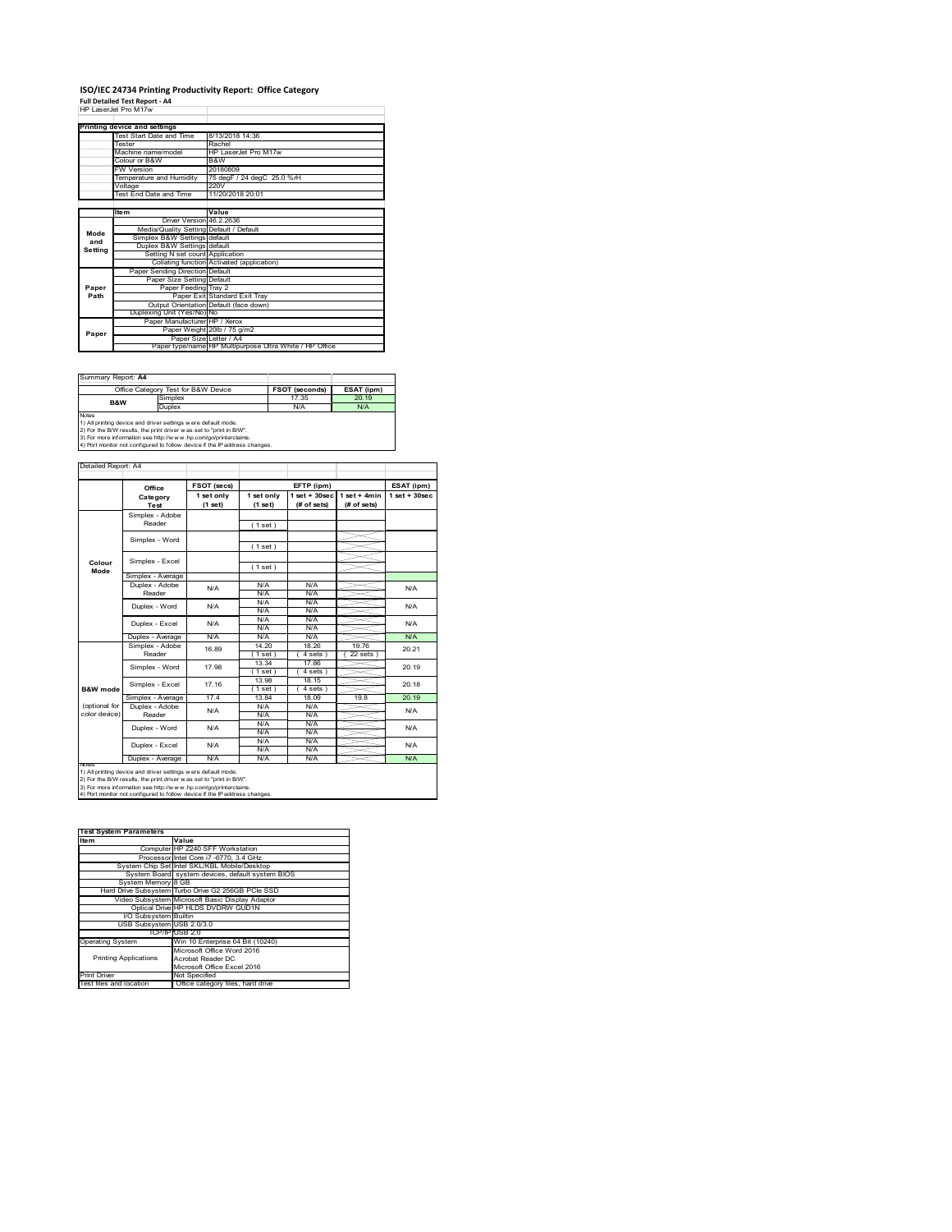#### **ISO/IEC 24734 Printing Productivity Report: Office Category Full Detailed Test Report ‐ A4** HP LaserJet Pro M17w

|         | 66 12866.89 PR) NH / W                  |                                                         |
|---------|-----------------------------------------|---------------------------------------------------------|
|         |                                         |                                                         |
|         | Printing device and settings            |                                                         |
|         | Test Start Date and Time                | 8/13/2018 14:36                                         |
|         | <b>Tester</b>                           | Rachel                                                  |
|         | Machine name/model                      | HP LaserJet Pro M17w                                    |
|         | Colour or B&W                           | B&W                                                     |
|         | <b>FW Version</b>                       | 20180809                                                |
|         | Temperature and Humidity                | 75 degF / 24 degC 25.0 %rH                              |
|         | Voltage                                 | 220V                                                    |
|         | Test End Date and Time                  | 11/20/2018 20:01                                        |
|         |                                         |                                                         |
|         | <b>Item</b>                             | Value                                                   |
|         | Driver Version 46.2.2636                |                                                         |
| Mode    | Media/Quality Setting Default / Default |                                                         |
| and     | Simplex B&W Settings default            |                                                         |
| Setting | Duplex B&W Settings default             |                                                         |
|         | Setting N set count Application         |                                                         |
|         |                                         | Collating function Activated (application)              |
|         | Paper Sending Direction Default         |                                                         |
|         | Paper Size Setting Default              |                                                         |
| Paper   | Paper Feeding Tray 2                    |                                                         |
| Path    |                                         | Paper Exit Standard Exit Tray                           |
|         |                                         | Output Orientation Default (face down)                  |
|         | Duplexing Unit (Yes/No) No              |                                                         |
|         | Paper Manufacturer HP / Xerox           |                                                         |
| Paper   |                                         | Paper Weight 20lb / 75 g/m2                             |
|         | Paper Size Letter / A4                  |                                                         |
|         |                                         | Paper type/name HP Multipurpose Ultra White / HP Office |

| Summary Report: A4                                                                                                                                                                                                                                                                                    |                                     |                       |            |
|-------------------------------------------------------------------------------------------------------------------------------------------------------------------------------------------------------------------------------------------------------------------------------------------------------|-------------------------------------|-----------------------|------------|
|                                                                                                                                                                                                                                                                                                       | Office Category Test for B&W Device | <b>FSOT (seconds)</b> | ESAT (ipm) |
| B&W                                                                                                                                                                                                                                                                                                   | Simplex                             | 17.35                 | 20.19      |
|                                                                                                                                                                                                                                                                                                       | Duplex                              | N/A                   | <b>N/A</b> |
| <b>Notes</b><br>1) All printing device and driver settings were default mode.<br>2) For the B/W results, the print driver was set to "print in B/W".<br>3) For more information see http://www.hp.com/go/printerclaims.<br>4) Port monitor not configured to follow device if the IP address changes. |                                     |                       |            |

**FSOT (secs) ESAT (ipm) EFTP (ipm) Office 1 set only (1 set) 1 set only (1 set) 1 set + 30sec (# of sets) 1 set + 4min (# of sets) 1 set + 30sec** ( 1 set ) ( 1 set ) ( 1 set ) Simplex - Average Duplex - Adobe  $N/f$ N/A N/A N/A N/A N/A N/A N/A N/A  $\frac{N}{N}$ Duplex - Average N/A N/A N/A N/A N/A N/A<br>Simplex - Adobe <sub>40.00</sub> 14.20 18.26 19.76 20.0 14.20 | 18.26 | 19.76  $(4 \text{ sets}) (22 \text{ sets})$ 13.34 17.86 ( 1 set ) ( 4 sets )<br>13.98 18.15 1 set ) (4 sets<br>13.84 18.09 Simplex - Average 17.4 13.84 18.09 19.8 20.19<br>
Duplex - Adobe N/A N/A N/A N/A N/A N/A N/A N/A N/A N/A N/A N/A<br>N/A N/A N/A N/A N/A N/A<br>N/A N/A<br>N/A N/A N/A<br>N/A Duplex - Average N/A N/A N/A N/A N/A N/A Duplex - Word Duplex - Excel N/A N/A N/A N/A N/A 20.21 20.19 20.18 N/A N/A Reader Simplex - Word 17.98 Duplex - Excel 16.89 notes<br>1) All printing device and driver settings were default mode.<br>2) For the B/W results, the print driver was set to "print in B/W".<br>3) For more information see http://www.hp.com/go/printerclaims.<br>4) Por moralitor not c **B&W mode** (optional for color device) **Colour Mode** Simplex - Adobe Reader Simplex - Excel Simplex - Word Simplex - Excel 17.16 Reader Duplex - Word ailed Report: A4 **Category Test** N/A  $N/A$   $N/A$   $N/A$   $N/A$   $N/A$ N/A

**Item Value Test System Parameters**Computer HP Z240 SFF Workstation Processor Intel Core i7 -6770, 3.4 GHz System Chip Set Intel SKL/KBL Mobile/Desktop System Board system devices, default system BIOS System Memory 8 GB Hard Drive Subsystem Turbo Drive G2 256GB PCIe SSD Video Subsystem Microsoft Basic Display Adaptor Optical Drive HP HLDS DVDRW GUD1N I/O Subsystem Builtin USB Subsystem USB 2.0/3.0 TCP/IP USB 2.0<br>
Win 10 Enterprise 64 Bit (10240)<br>
Microsoft Office Word 2016<br>
Printing Applications<br>
Acrobat Reader DC<br>
Microsoft Office Excel 2016 Printing Applications Print Driver Mot Specified<br>Test files and location Office category files, hard drive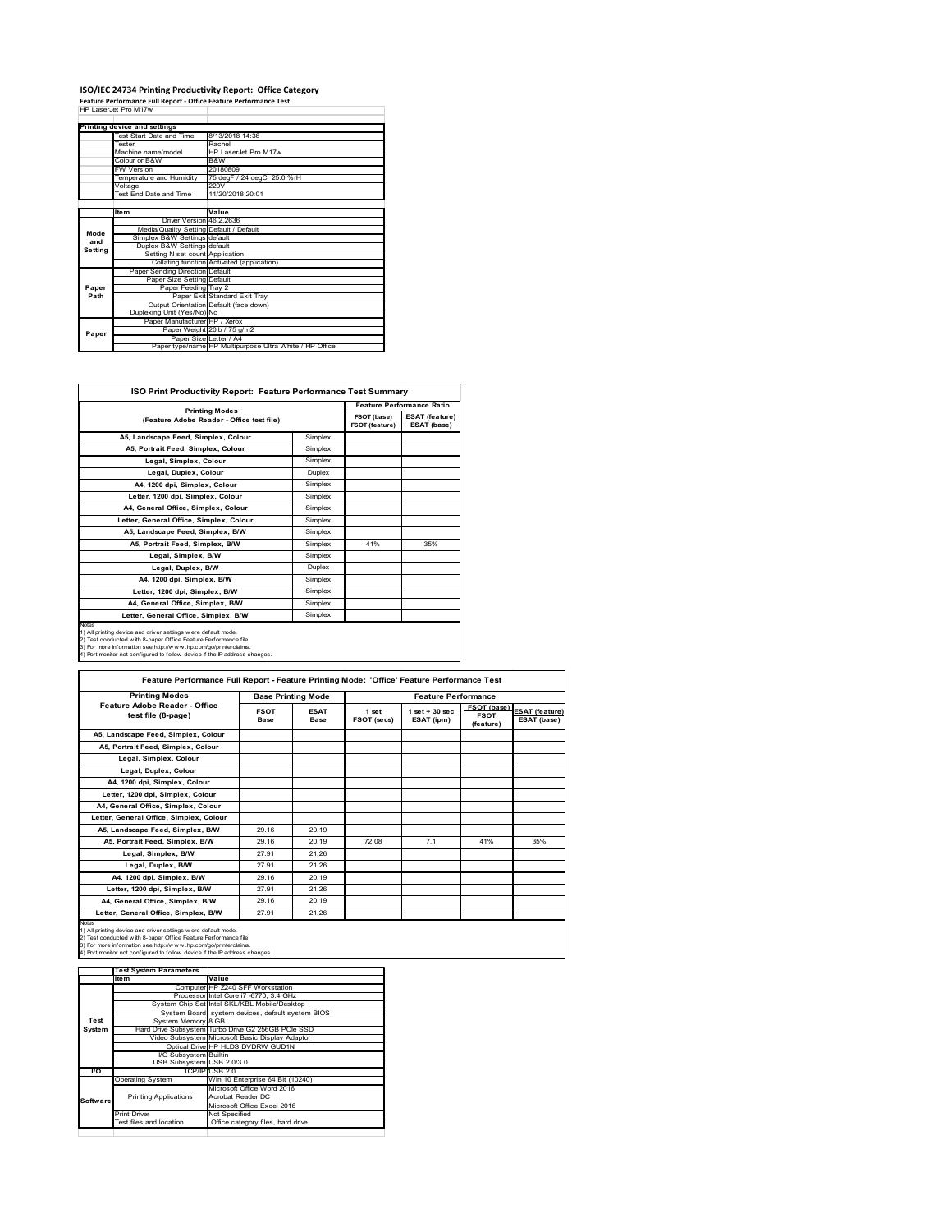## **ISO/IEC 24734 Printing Productivity Report: Office Category Feature Performance Full Report ‐ Office Feature Performance Test** HP LaserJet Pro M17w

|         | Printing device and settings            |                                                         |
|---------|-----------------------------------------|---------------------------------------------------------|
|         | Test Start Date and Time                | 8/13/2018 14:36                                         |
|         | <b>Tester</b>                           | Rachel                                                  |
|         | Machine name/model                      | HP LaserJet Pro M17w                                    |
|         | Colour or B&W                           | B&W                                                     |
|         | <b>FW Version</b>                       | 20180809                                                |
|         | Temperature and Humidity                | 75 degF / 24 degC 25.0 %rH                              |
|         | Voltage                                 | 220V                                                    |
|         | <b>Test End Date and Time</b>           | 11/20/2018 20:01                                        |
|         |                                         |                                                         |
|         | <b>Item</b>                             | Value                                                   |
|         | Driver Version 46 2 2636                |                                                         |
| Mode    | Media/Quality Setting Default / Default |                                                         |
| and     | Simplex B&W Settings default            |                                                         |
| Setting | Duplex B&W Settings default             |                                                         |
|         | Setting N set count Application         |                                                         |
|         |                                         | Collating function Activated (application)              |
|         | Paper Sending Direction Default         |                                                         |
|         | Paper Size Setting Default              |                                                         |
| Paper   | Paper Feeding Tray 2                    |                                                         |
| Path    |                                         | Paper Exit Standard Exit Trav                           |
|         |                                         | Output Orientation Default (face down)                  |
|         | Duplexing Unit (Yes/No) No              |                                                         |
|         | Paper Manufacturer HP / Xerox           |                                                         |
| Paper   |                                         | Paper Weight 20lb / 75 g/m2                             |
|         | Paper Size Letter / A4                  |                                                         |
|         |                                         | Paper type/name HP Multipurpose Ultra White / HP Office |

| <b>ISO Print Productivity Report: Feature Performance Test Summary</b>                                                                                                                                                                                                                            |         |                                  |                                      |  |
|---------------------------------------------------------------------------------------------------------------------------------------------------------------------------------------------------------------------------------------------------------------------------------------------------|---------|----------------------------------|--------------------------------------|--|
| <b>Printing Modes</b><br>(Feature Adobe Reader - Office test file)                                                                                                                                                                                                                                |         | <b>Feature Performance Ratio</b> |                                      |  |
|                                                                                                                                                                                                                                                                                                   |         | FSOT (base)<br>FSOT (feature)    | <b>ESAT (feature)</b><br>ESAT (base) |  |
| A5. Landscape Feed. Simplex. Colour                                                                                                                                                                                                                                                               | Simplex |                                  |                                      |  |
| A5. Portrait Feed. Simplex. Colour                                                                                                                                                                                                                                                                | Simplex |                                  |                                      |  |
| Legal, Simplex, Colour                                                                                                                                                                                                                                                                            | Simplex |                                  |                                      |  |
| Legal, Duplex, Colour                                                                                                                                                                                                                                                                             | Duplex  |                                  |                                      |  |
| A4, 1200 dpi, Simplex, Colour                                                                                                                                                                                                                                                                     | Simplex |                                  |                                      |  |
| Letter, 1200 dpi, Simplex, Colour                                                                                                                                                                                                                                                                 | Simplex |                                  |                                      |  |
| A4, General Office, Simplex, Colour                                                                                                                                                                                                                                                               | Simplex |                                  |                                      |  |
| Letter, General Office, Simplex, Colour                                                                                                                                                                                                                                                           | Simplex |                                  |                                      |  |
| A5, Landscape Feed, Simplex, B/W                                                                                                                                                                                                                                                                  | Simplex |                                  |                                      |  |
| A5. Portrait Feed. Simplex. B/W                                                                                                                                                                                                                                                                   | Simplex | 41%                              | 35%                                  |  |
| Legal, Simplex, B/W                                                                                                                                                                                                                                                                               | Simplex |                                  |                                      |  |
| Legal, Duplex, B/W                                                                                                                                                                                                                                                                                | Duplex  |                                  |                                      |  |
| A4, 1200 dpi, Simplex, B/W                                                                                                                                                                                                                                                                        | Simplex |                                  |                                      |  |
| Letter, 1200 dpi. Simplex, B/W                                                                                                                                                                                                                                                                    | Simplex |                                  |                                      |  |
| A4, General Office, Simplex, B/W                                                                                                                                                                                                                                                                  | Simplex |                                  |                                      |  |
| Letter, General Office, Simplex, B/W                                                                                                                                                                                                                                                              | Simplex |                                  |                                      |  |
| <b>Notes</b><br>1) All printing device and driver settings were default mode.<br>2) Test conducted with 8-paper Office Feature Performance file.<br>3) For more information see http://www.hp.com/go/printerclaims.<br>4) Port monitor not configured to follow device if the IP address changes. |         |                                  |                                      |  |

| <b>Printing Modes</b>                               | <b>Base Printing Mode</b> |                     |                      | <b>Feature Performance</b>       |                                         |                                      |  |
|-----------------------------------------------------|---------------------------|---------------------|----------------------|----------------------------------|-----------------------------------------|--------------------------------------|--|
| Feature Adobe Reader - Office<br>test file (8-page) | <b>FSOT</b><br>Base       | <b>ESAT</b><br>Base | 1 set<br>FSOT (secs) | $1$ set $+30$ sec.<br>ESAT (ipm) | FSOT (base)<br><b>FSOT</b><br>(feature) | <b>ESAT</b> (feature)<br>ESAT (base) |  |
| A5, Landscape Feed, Simplex, Colour                 |                           |                     |                      |                                  |                                         |                                      |  |
| A5, Portrait Feed, Simplex, Colour                  |                           |                     |                      |                                  |                                         |                                      |  |
| Legal, Simplex, Colour                              |                           |                     |                      |                                  |                                         |                                      |  |
| Legal, Duplex, Colour                               |                           |                     |                      |                                  |                                         |                                      |  |
| A4, 1200 dpi, Simplex, Colour                       |                           |                     |                      |                                  |                                         |                                      |  |
| Letter, 1200 dpi, Simplex, Colour                   |                           |                     |                      |                                  |                                         |                                      |  |
| A4, General Office, Simplex, Colour                 |                           |                     |                      |                                  |                                         |                                      |  |
| Letter, General Office, Simplex, Colour             |                           |                     |                      |                                  |                                         |                                      |  |
| A5, Landscape Feed, Simplex, B/W                    | 29.16                     | 20.19               |                      |                                  |                                         |                                      |  |
| A5. Portrait Feed. Simplex. B/W                     | 29 16                     | 20.19               | 72.08                | 7.1                              | 41%                                     | 35%                                  |  |
| Legal, Simplex, B/W                                 | 27 91                     | 21.26               |                      |                                  |                                         |                                      |  |
| Legal, Duplex, B/W                                  | 27.91                     | 21.26               |                      |                                  |                                         |                                      |  |
| A4, 1200 dpi, Simplex, B/W                          | 29.16                     | 20.19               |                      |                                  |                                         |                                      |  |
| Letter, 1200 dpi. Simplex, B/W                      | 27.91                     | 21.26               |                      |                                  |                                         |                                      |  |
| A4, General Office, Simplex, B/W                    | 29.16                     | 20.19               |                      |                                  |                                         |                                      |  |
| Letter, General Office, Simplex, B/W                | 27.91                     | 21.26               |                      |                                  |                                         |                                      |  |

1) All printing device and driver settings were default mode.<br>2) Test conducted with 8-paper Office Feature Performance file<br>3) For more information see http://www.hp.com/go/printerclaims.<br>4) Port monitor not configured to

|           | <b>Test System Parameters</b> |                                                    |
|-----------|-------------------------------|----------------------------------------------------|
|           | Item                          | Value                                              |
|           |                               | Computer HP Z240 SFF Workstation                   |
|           |                               | Processor Intel Core i7 -6770, 3.4 GHz             |
|           |                               | System Chip Set Intel SKL/KBL Mobile/Desktop       |
|           |                               | System Board system devices, default system BIOS   |
| Test      | System Memory 8 GB            |                                                    |
| System    |                               | Hard Drive Subsystem Turbo Drive G2 256GB PCle SSD |
|           |                               | Video Subsystem Microsoft Basic Display Adaptor    |
|           |                               | Optical Drive HP HLDS DVDRW GUD1N                  |
|           | <b>VO Subsystem Builtin</b>   |                                                    |
|           | USB Subsystem USB 2.0/3.0     |                                                    |
| <b>VO</b> |                               | TCP/IP USB 2.0                                     |
|           | <b>Operating System</b>       | Win 10 Enterprise 64 Bit (10240)                   |
|           |                               | Microsoft Office Word 2016                         |
| Software  | <b>Printing Applications</b>  | Acrobat Reader DC                                  |
|           |                               | Microsoft Office Excel 2016                        |
|           | <b>Print Driver</b>           | Not Specified                                      |
|           | Test files and location       | Office category files, hard drive                  |
|           |                               |                                                    |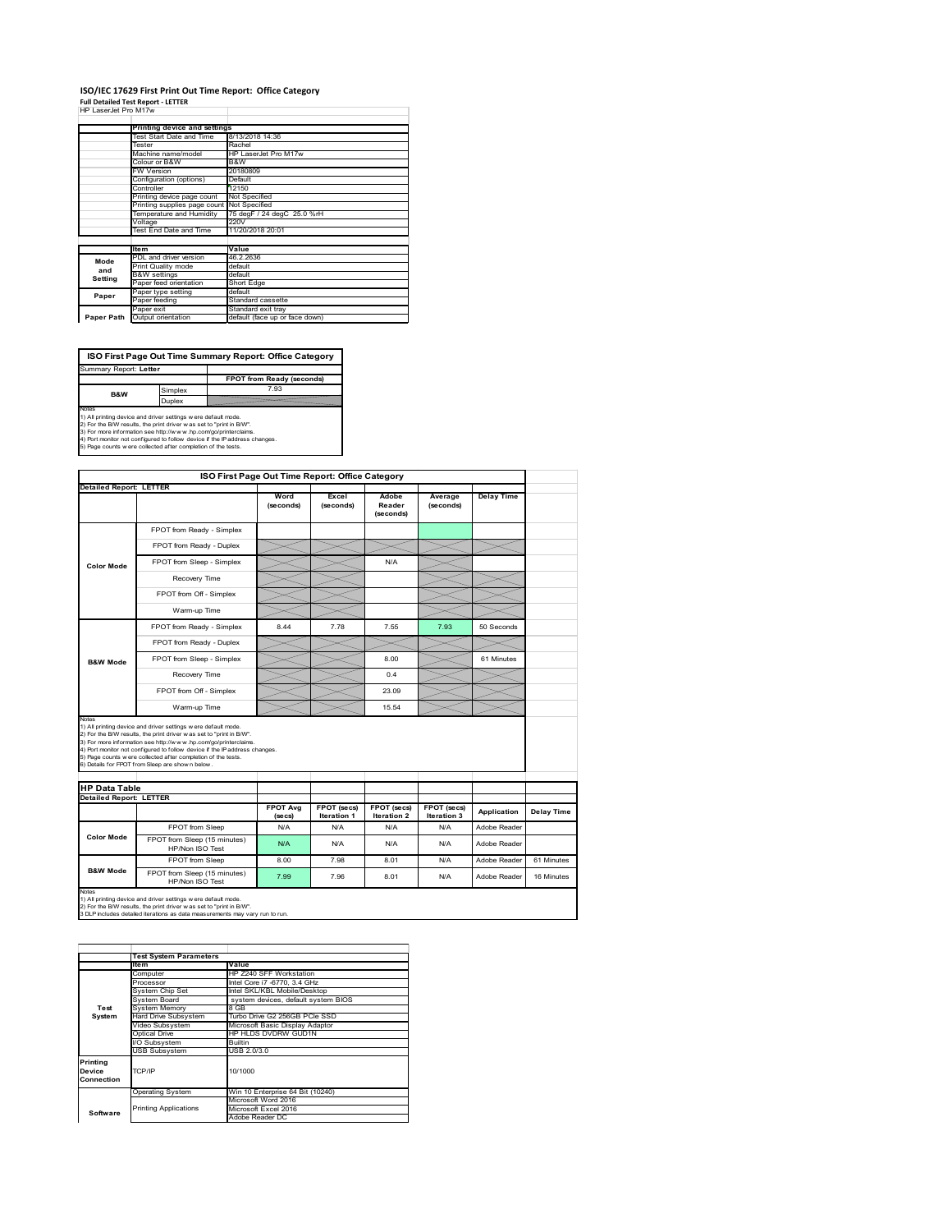#### **ISO/IEC 17629 First Print Out Time Report: Office Category**

| <b>Full Detailed Test Report - LETTER</b> |  |
|-------------------------------------------|--|
| HP LaserJet Pro M17w                      |  |

|            | Printing device and settings               |                                |
|------------|--------------------------------------------|--------------------------------|
|            | Test Start Date and Time                   | 8/13/2018 14:36                |
|            | Tester                                     | Rachel                         |
|            | Machine name/model                         | HP LaserJet Pro M17w           |
|            | Colour or B&W                              | B&W                            |
|            | <b>FW Version</b>                          | 20180809                       |
|            | Configuration (options)                    | Default                        |
|            | Controller                                 | 12150                          |
|            | Printing device page count                 | Not Specified                  |
|            | Printing supplies page count Not Specified |                                |
|            | Temperature and Humidity                   | 75 degF / 24 degC 25.0 %rH     |
| Voltage    |                                            | 220V                           |
|            | Test End Date and Time                     | 11/20/2018 20:01               |
|            |                                            |                                |
|            | <b>Item</b>                                | Value                          |
| Mode       | PDL and driver version                     | 46.2.2636                      |
| and        | Print Quality mode                         | default                        |
|            | <b>B&amp;W</b> settings                    | default                        |
| Setting    | Paper feed orientation                     | Short Edge                     |
| Paper      | Paper type setting                         | default                        |
|            | Paper feeding                              | Standard cassette              |
|            | Paper exit                                 | Standard exit tray             |
| Paper Path | Output orientation                         | default (face up or face down) |
|            |                                            |                                |

**FPOT from Ready (seconds)**<br>
Simplex 7.93 **ISO First Page Out Time Summary Report: Office Category** rt: **Letter B&W**

**Duplex**<br>Notes<br>1) All printing device and driver settings were default mode.<br>2) For the BM results, the print driver was set to "print in BM".<br>4) For more information see http://www.hp.com/golprinterclaims.<br>4) Port monitor

|                                |                                                                                                                                                                                                                                                                                                                                                                                                             | ISO First Page Out Time Report: Office Category |                           |                              |                      |                   |            |
|--------------------------------|-------------------------------------------------------------------------------------------------------------------------------------------------------------------------------------------------------------------------------------------------------------------------------------------------------------------------------------------------------------------------------------------------------------|-------------------------------------------------|---------------------------|------------------------------|----------------------|-------------------|------------|
| <b>Detailed Report: LETTER</b> |                                                                                                                                                                                                                                                                                                                                                                                                             | Word<br>(seconds)                               | Excel<br>(seconds)        | Adobe<br>Reader<br>(seconds) | Average<br>(seconds) | <b>Delay Time</b> |            |
|                                | FPOT from Ready - Simplex                                                                                                                                                                                                                                                                                                                                                                                   |                                                 |                           |                              |                      |                   |            |
| Color Mode                     | FPOT from Ready - Duplex                                                                                                                                                                                                                                                                                                                                                                                    |                                                 |                           |                              |                      |                   |            |
|                                | FPOT from Sleep - Simplex                                                                                                                                                                                                                                                                                                                                                                                   |                                                 |                           | N/A                          |                      |                   |            |
|                                | Recovery Time                                                                                                                                                                                                                                                                                                                                                                                               |                                                 |                           |                              |                      |                   |            |
|                                | FPOT from Off - Simplex                                                                                                                                                                                                                                                                                                                                                                                     |                                                 |                           |                              |                      |                   |            |
|                                | Warm-up Time                                                                                                                                                                                                                                                                                                                                                                                                |                                                 |                           |                              |                      |                   |            |
|                                | FPOT from Ready - Simplex                                                                                                                                                                                                                                                                                                                                                                                   | 8.44                                            | 7.78                      | 7.55                         | 7.93                 | 50 Seconds        |            |
|                                | FPOT from Ready - Duplex                                                                                                                                                                                                                                                                                                                                                                                    |                                                 |                           |                              |                      |                   |            |
| <b>B&amp;W Mode</b>            | FPOT from Sleep - Simplex                                                                                                                                                                                                                                                                                                                                                                                   |                                                 |                           | 8.00                         |                      | 61 Minutes        |            |
|                                | Recovery Time                                                                                                                                                                                                                                                                                                                                                                                               |                                                 |                           | 0.4                          |                      |                   |            |
|                                |                                                                                                                                                                                                                                                                                                                                                                                                             |                                                 |                           |                              |                      |                   |            |
|                                | FPOT from Off - Simplex                                                                                                                                                                                                                                                                                                                                                                                     |                                                 |                           | 23.09                        |                      |                   |            |
| Notes                          | Warm-up Time                                                                                                                                                                                                                                                                                                                                                                                                |                                                 |                           | 15.54                        |                      |                   |            |
| <b>HP Data Table</b>           | 1) All printing device and driver settings w ere default mode.<br>2) For the B/W results, the print driver was set to "print in B/W".<br>3) For more information see http://www.hp.com/go/printerclaims.<br>4) Port monitor not configured to follow device if the IP address changes.<br>5) Page counts w ere collected after completion of the tests.<br>6) Details for FPOT from Sleep are show n below. |                                                 |                           |                              |                      |                   |            |
| <b>Detailed Report: LETTER</b> |                                                                                                                                                                                                                                                                                                                                                                                                             | <b>FPOT Ava</b>                                 | FPOT (secs)               | FPOT (secs)                  | FPOT (secs)          | Application       | Delay Time |
|                                | FPOT from Sleep                                                                                                                                                                                                                                                                                                                                                                                             | (se cs)<br>N/A                                  | <b>Iteration 1</b><br>N/A | <b>Iteration 2</b><br>N/A    | Iteration 3<br>N/A   | Adobe Reader      |            |
| Color Mode                     | FPOT from Sleep (15 minutes)<br>HP/Non ISO Test                                                                                                                                                                                                                                                                                                                                                             | N/A                                             | N/A                       | N/A                          | N/A                  | Adobe Reader      |            |
| <b>B&amp;W Mode</b>            | FPOT from Sleep                                                                                                                                                                                                                                                                                                                                                                                             | 8.00                                            | 7.98                      | 8.01                         | N/A                  | Adobe Reader      | 61 Minutes |

1) All printing device and driver settings w ere default mode.<br>2) For the B/W results, the print driver w as set to "print in B/W".<br>3 DLP includes detailed iterations as data measurements may vary run to run.

**Item Value** Computer HP Z240 SFF Workstation Processor Intel Core i7 -6770, 3.4 GHz System Chip Set Intel SKL/KBL Mobile/Desktop System Board system devices, default system BIOS Frocessor<br>System Chip Set<br>System Memory<br>Hard Drive Subsystem<br>Hard Subsystem Hard Drive Subsystem Turbo Drive G2 256GB PCIe SSD Video Subsystem Microsoft Basic Display Adaptor Optical Drive HP HLDS DVDRW GUD1N Subsystem Builtin USB Subsystem USB 2.0/3.0 Operating System Win 10 Enterprise 64 Bit (10240) Microsoft Word 2016 Microsoft Excel 2016 Adobe Reader DC **Printing Device Connection** TCP/IP 10/1000 **Software** Printing Applications **Test System Test System Para**